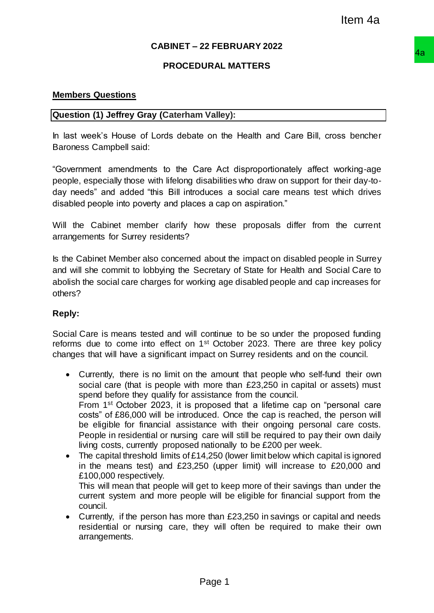## **CABINET – 22 FEBRUARY 2022**

## **PROCEDURAL MATTERS**

#### **Members Questions**

#### **Question (1) Jeffrey Gray (Caterham Valley):**

In last week's House of Lords debate on the Health and Care Bill, cross bencher Baroness Campbell said:

"Government amendments to the Care Act disproportionately affect working-age people, especially those with lifelong disabilities who draw on support for their day-today needs" and added "this Bill introduces a social care means test which drives disabled people into poverty and places a cap on aspiration."

Will the Cabinet member clarify how these proposals differ from the current arrangements for Surrey residents?

Is the Cabinet Member also concerned about the impact on disabled people in Surrey and will she commit to lobbying the Secretary of State for Health and Social Care to abolish the social care charges for working age disabled people and cap increases for others?

## **Reply:**

Social Care is means tested and will continue to be so under the proposed funding reforms due to come into effect on 1<sup>st</sup> October 2023. There are three key policy changes that will have a significant impact on Surrey residents and on the council.

- Currently, there is no limit on the amount that people who self-fund their own social care (that is people with more than £23,250 in capital or assets) must spend before they qualify for assistance from the council. From 1st October 2023, it is proposed that a lifetime cap on "personal care costs" of £86,000 will be introduced. Once the cap is reached, the person will be eligible for financial assistance with their ongoing personal care costs. People in residential or nursing care will still be required to pay their own daily living costs, currently proposed nationally to be £200 per week. Item 4a<br>
22 FEBRUARY 2022<br>
URAL MATTERS<br>
ITEM VALUAT TRIS<br>
TO WALKE THE HEALT AND Care Bill, cross bencher<br>
are Act disproportionately affect working-age<br>
istabilities who draw on support for their day-to-<br>
duces a social
- The capital threshold limits of £14,250 (lower limit below which capital is ignored in the means test) and £23,250 (upper limit) will increase to £20,000 and £100,000 respectively. This will mean that people will get to keep more of their savings than under the current system and more people will be eligible for financial support from the council.
- Currently, if the person has more than £23,250 in savings or capital and needs residential or nursing care, they will often be required to make their own arrangements.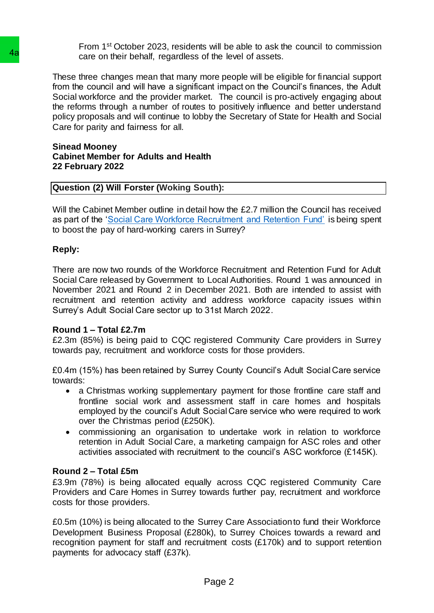From 1st October 2023, residents will be able to ask the council to commission care on their behalf, regardless of the level of assets.

These three changes mean that many more people will be eligible for financial support from the council and will have a significant impact on the Council's finances, the Adult Social workforce and the provider market. The council is pro-actively engaging about the reforms through a number of routes to positively influence and better understand policy proposals and will continue to lobby the Secretary of State for Health and Social Care for parity and fairness for all. **4a**<br>care on their behalt, regardless of the le<br>These three changes mean that many more pectom the concil and will have a significant limp<br>be 5 cocial workforce and the provider market. The<br>policy proposals and will contin

#### **Sinead Mooney Cabinet Member for Adults and Health 22 February 2022**

## **Question (2) Will Forster (Woking South):**

Will the Cabinet Member outline in detail how the £2.7 million the Council has received as part of the ['Social Care Workforce Recruitment and Retention Fund'](https://www.gov.uk/government/publications/workforce-recruitment-and-retention-fund-for-adult-social-care/annex-c-grant-allocations) is being spent to boost the pay of hard-working carers in Surrey?

## **Reply:**

There are now two rounds of the Workforce Recruitment and Retention Fund for Adult Social Care released by Government to Local Authorities. Round 1 was announced in November 2021 and Round 2 in December 2021. Both are intended to assist with recruitment and retention activity and address workforce capacity issues within Surrey's Adult Social Care sector up to 31st March 2022.

## **Round 1 – Total £2.7m**

£2.3m (85%) is being paid to CQC registered Community Care providers in Surrey towards pay, recruitment and workforce costs for those providers.

£0.4m (15%) has been retained by Surrey County Council's Adult Social Care service towards:

- a Christmas working supplementary payment for those frontline care staff and frontline social work and assessment staff in care homes and hospitals employed by the council's Adult Social Care service who were required to work over the Christmas period (£250K).
- commissioning an organisation to undertake work in relation to workforce retention in Adult Social Care, a marketing campaign for ASC roles and other activities associated with recruitment to the council's ASC workforce (£145K).

## **Round 2 – Total £5m**

£3.9m (78%) is being allocated equally across CQC registered Community Care Providers and Care Homes in Surrey towards further pay, recruitment and workforce costs for those providers.

£0.5m (10%) is being allocated to the Surrey Care Association to fund their Workforce Development Business Proposal (£280k), to Surrey Choices towards a reward and recognition payment for staff and recruitment costs (£170k) and to support retention payments for advocacy staff (£37k).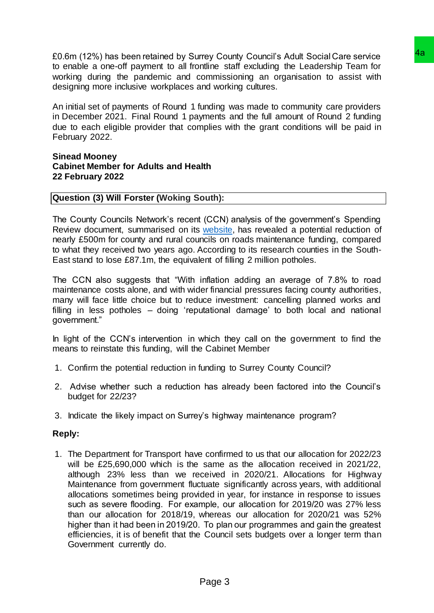£0.6m (12%) has been retained by Surrey County Council's Adult Social Care service to enable a one-off payment to all frontline staff excluding the Leadership Team for working during the pandemic and commissioning an organisation to assist with designing more inclusive workplaces and working cultures.

An initial set of payments of Round 1 funding was made to community care providers in December 2021. Final Round 1 payments and the full amount of Round 2 funding due to each eligible provider that complies with the grant conditions will be paid in February 2022.

#### **Sinead Mooney Cabinet Member for Adults and Health 22 February 2022**

## **Question (3) Will Forster (Woking South):**

The County Councils Network's recent (CCN) analysis of the government's Spending Review document, summarised on its [website,](https://www.countycouncilsnetwork.org.uk/councils-warn-they-will-have-to-scale-back-road-maintenance-as-local-authorities-face-a-500m-funding-reduction-which-could-have-fixed-11-5-million-potholes/) has revealed a potential reduction of nearly £500m for county and rural councils on roads maintenance funding, compared to what they received two years ago. According to its research counties in the South-East stand to lose £87.1m, the equivalent of filling 2 million potholes.

The CCN also suggests that "With inflation adding an average of 7.8% to road maintenance costs alone, and with wider financial pressures facing county authorities, many will face little choice but to reduce investment: cancelling planned works and filling in less potholes – doing 'reputational damage' to both local and national government."

In light of the CCN's intervention in which they call on the government to find the means to reinstate this funding, will the Cabinet Member

- 1. Confirm the potential reduction in funding to Surrey County Council?
- 2. Advise whether such a reduction has already been factored into the Council's budget for 22/23?
- 3. Indicate the likely impact on Surrey's highway maintenance program?

## **Reply:**

1. The Department for Transport have confirmed to us that our allocation for 2022/23 will be £25,690,000 which is the same as the allocation received in 2021/22, although 23% less than we received in 2020/21. Allocations for Highway Maintenance from government fluctuate significantly across years, with additional allocations sometimes being provided in year, for instance in response to issues such as severe flooding.  For example, our allocation for 2019/20 was 27% less than our allocation for 2018/19, whereas our allocation for 2020/21 was 52% higher than it had been in 2019/20.  To plan our programmes and gain the greatest efficiencies, it is of benefit that the Council sets budgets over a longer term than Government currently do. righe starf excluding the Leadership Team<br>The starf excluding the colump of the condition of the star of commissioning an organisation to assist with divery<br>increases.<br>The members of production of Roundary and the system f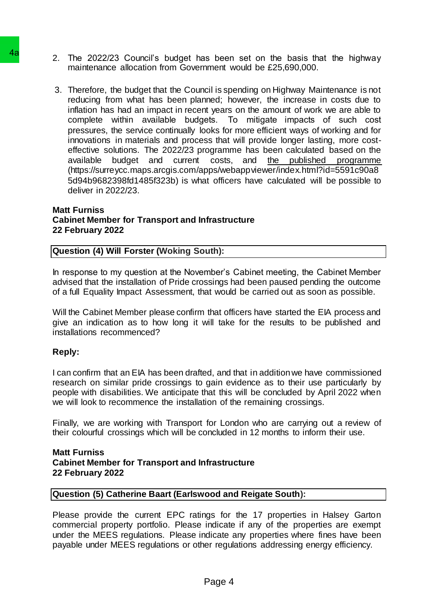- 2. The 2022/23 Council's budget has been set on the basis that the highway maintenance allocation from Government would be £25,690,000.
- 3. Therefore, the budget that the Council is spending on Highway Maintenance is not reducing from what has been planned; however, the increase in costs due to inflation has had an impact in recent years on the amount of work we are able to complete within available budgets.  To mitigate impacts of such cost pressures, the service continually looks for more efficient ways of working and for innovations in materials and process that will provide longer lasting, more costeffective solutions. The 2022/23 programme has been calculated based on the available budget and current costs, and [the published programme](https://surreycc.maps.arcgis.com/apps/webappviewer/index.html?id=5591c90a85d94b9682398fd1485f323b) (https://surreycc.maps.arcgis.com/apps/webappviewer/index.html?id=5591c90a8 5d94b9682398fd1485f323b) is what officers have calculated will be possible to deliver in 2022/23. **4a**<br>
2. The 2022/23 Council's budget has been maintenance allocation from Government v<br>
3. Therefore, the budget that the Council is spend<br>
reducing from what has been planned; hydrotometric field<br>
in the reducing from w

## **Matt Furniss Cabinet Member for Transport and Infrastructure 22 February 2022**

## **Question (4) Will Forster (Woking South):**

In response to my question at the November's Cabinet meeting, the Cabinet Member advised that the installation of Pride crossings had been paused pending the outcome of a full Equality Impact Assessment, that would be carried out as soon as possible.

Will the Cabinet Member please confirm that officers have started the EIA process and give an indication as to how long it will take for the results to be published and installations recommenced?

## **Reply:**

I can confirm that an EIA has been drafted, and that in addition we have commissioned research on similar pride crossings to gain evidence as to their use particularly by people with disabilities. We anticipate that this will be concluded by April 2022 when we will look to recommence the installation of the remaining crossings.

Finally, we are working with Transport for London who are carrying out a review of their colourful crossings which will be concluded in 12 months to inform their use.

#### **Matt Furniss Cabinet Member for Transport and Infrastructure 22 February 2022**

## **Question (5) Catherine Baart (Earlswood and Reigate South):**

Please provide the current EPC ratings for the 17 properties in Halsey Garton commercial property portfolio. Please indicate if any of the properties are exempt under the MEES regulations. Please indicate any properties where fines have been payable under MEES regulations or other regulations addressing energy efficiency.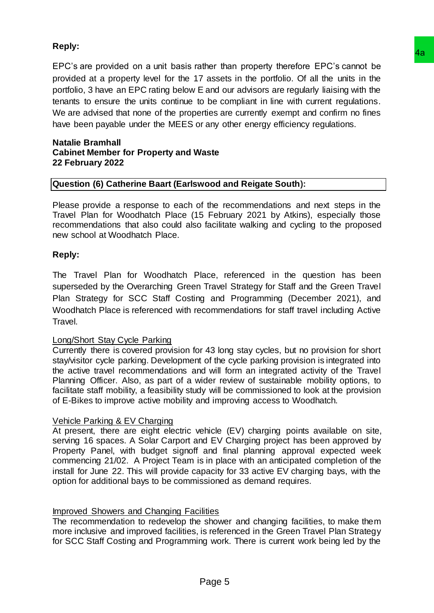# **Reply:**

EPC's are provided on a unit basis rather than property therefore EPC's cannot be provided at a property level for the 17 assets in the portfolio. Of all the units in the portfolio, 3 have an EPC rating below E and our advisors are regularly liaising with the tenants to ensure the units continue to be compliant in line with current regulations. We are advised that none of the properties are currently exempt and confirm no fines have been payable under the MEES or any other energy efficiency regulations. **assets** in the porterior. Of all the units in the portfolio. Of all the units in the assets in the portfolio. Of all the units in the and our advisors are regulary liaising with the be to e compliant in line with current

#### **Natalie Bramhall Cabinet Member for Property and Waste 22 February 2022**

## **Question (6) Catherine Baart (Earlswood and Reigate South):**

Please provide a response to each of the recommendations and next steps in the Travel Plan for Woodhatch Place (15 February 2021 by Atkins), especially those recommendations that also could also facilitate walking and cycling to the proposed new school at Woodhatch Place.

## **Reply:**

The Travel Plan for Woodhatch Place, referenced in the question has been superseded by the Overarching Green Travel Strategy for Staff and the Green Travel Plan Strategy for SCC Staff Costing and Programming (December 2021), and Woodhatch Place is referenced with recommendations for staff travel including Active Travel.

## Long/Short Stay Cycle Parking

Currently there is covered provision for 43 long stay cycles, but no provision for short stay/visitor cycle parking. Development of the cycle parking provision is integrated into the active travel recommendations and will form an integrated activity of the Travel Planning Officer. Also, as part of a wider review of sustainable mobility options, to facilitate staff mobility, a feasibility study will be commissioned to look at the provision of E-Bikes to improve active mobility and improving access to Woodhatch.

## Vehicle Parking & EV Charging

At present, there are eight electric vehicle (EV) charging points available on site, serving 16 spaces. A Solar Carport and EV Charging project has been approved by Property Panel, with budget signoff and final planning approval expected week commencing 21/02. A Project Team is in place with an anticipated completion of the install for June 22. This will provide capacity for 33 active EV charging bays, with the option for additional bays to be commissioned as demand requires.

## Improved Showers and Changing Facilities

The recommendation to redevelop the shower and changing facilities, to make them more inclusive and improved facilities, is referenced in the Green Travel Plan Strategy for SCC Staff Costing and Programming work. There is current work being led by the